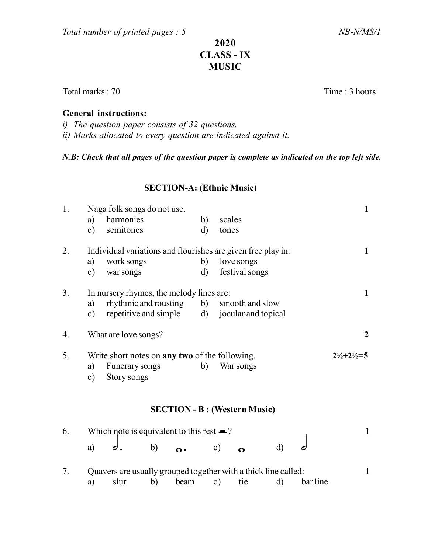# 2020 CLASS - IX MUSIC

Total marks : 70 Time : 3 hours

#### General instructions:

i) The question paper consists of 32 questions. ii) Marks allocated to every question are indicated against it.

N.B: Check that all pages of the question paper is complete as indicated on the top left side.

## SECTION-A: (Ethnic Music)

| 1. | a)<br>$\mathbf{c})$       | Naga folk songs do not use.<br>harmonies<br>semitones                                                                | b)<br>d)        | scales<br>tones              |                                   |  |  |
|----|---------------------------|----------------------------------------------------------------------------------------------------------------------|-----------------|------------------------------|-----------------------------------|--|--|
| 2. | a)<br>$\mathbf{c})$       | Individual variations and flourishes are given free play in:<br>work songs<br>war songs                              | b)<br>d)        | love songs<br>festival songs |                                   |  |  |
| 3. | a)<br>c)                  | In nursery rhymes, the melody lines are:<br>rhythmic and rousting b)<br>repetitive and simple d) jocular and topical | smooth and slow |                              |                                   |  |  |
| 4. | What are love songs?<br>2 |                                                                                                                      |                 |                              |                                   |  |  |
| 5. | a)<br>$\mathbf{c})$       | Write short notes on any two of the following.<br>Funerary songs<br>Story songs                                      | b)              | War songs                    | $2\frac{1}{2} + 2\frac{1}{2} = 5$ |  |  |

### SECTION - B : (Western Music)

| 6. |                                                                | Which note is equivalent to this rest $\equiv$ ? |  |                                         |  |  |  |  |  |  |  |
|----|----------------------------------------------------------------|--------------------------------------------------|--|-----------------------------------------|--|--|--|--|--|--|--|
|    |                                                                |                                                  |  | a) $\sigma$ , b) $\sigma$ , c) $\sigma$ |  |  |  |  |  |  |  |
|    | Quavers are usually grouped together with a thick line called: |                                                  |  |                                         |  |  |  |  |  |  |  |

|  | Quavers are usually grouped together with a thick line called: |  |                                |  |
|--|----------------------------------------------------------------|--|--------------------------------|--|
|  |                                                                |  | slur b) beam c) tie d) barline |  |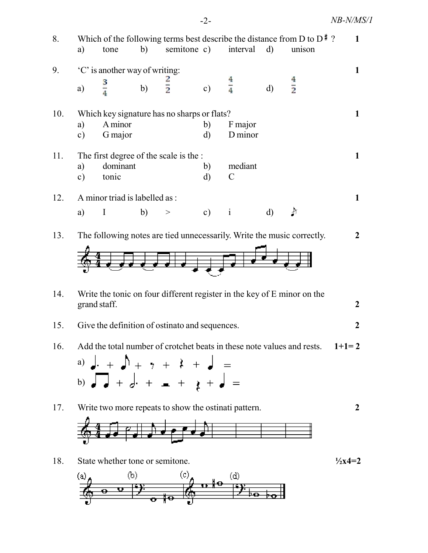| 8.  | a)                                                                                                                                                                           | tone                                                              | b)           | semitone c)   |               | interval                 | $\mathbf{d}$ | Which of the following terms best describe the distance from D to $D^{\sharp}$ ?<br>unison | $\mathbf{1}$         |
|-----|------------------------------------------------------------------------------------------------------------------------------------------------------------------------------|-------------------------------------------------------------------|--------------|---------------|---------------|--------------------------|--------------|--------------------------------------------------------------------------------------------|----------------------|
| 9.  | a)                                                                                                                                                                           | 'C' is another way of writing:<br>$\frac{3}{4}$                   | b)           | $\frac{2}{2}$ | $\mathbf{c})$ | $\frac{4}{4}$            | $\mathbf{d}$ | $\frac{4}{2}$                                                                              | $\mathbf{1}$         |
| 10. | a)<br>$\mathbf{c})$                                                                                                                                                          | Which key signature has no sharps or flats?<br>A minor<br>G major |              |               | b)<br>d)      | F major<br>D minor       |              |                                                                                            | $\mathbf{1}$         |
| 11. | a)<br>$\mathbf{c})$                                                                                                                                                          | The first degree of the scale is the :<br>dominant<br>tonic       |              |               | b)<br>d)      | mediant<br>$\mathcal{C}$ |              |                                                                                            | $\mathbf{1}$         |
| 12. | a)                                                                                                                                                                           | A minor triad is labelled as :<br>$\bf{I}$                        | $\mathbf{b}$ | $\,>$         | c)            | $\mathbf{i}$             | $\mathbf{d}$ | $\boldsymbol{\gamma}$                                                                      | $\mathbf{1}$         |
| 13. |                                                                                                                                                                              |                                                                   |              |               |               |                          |              | The following notes are tied unnecessarily. Write the music correctly.                     | $\overline{2}$       |
| 14. | Write the tonic on four different register in the key of E minor on the<br>grand staff.                                                                                      |                                                                   |              |               |               |                          |              |                                                                                            | $\overline{2}$       |
| 15. |                                                                                                                                                                              | Give the definition of ostinato and sequences.                    |              |               |               |                          |              |                                                                                            | $\overline{2}$       |
| 16. | Add the total number of crotchet beats in these note values and rests.<br>a) $\int$ + $\int$ + $\int$ + $\int$ + $\int$ + $\int$ =<br>b) $\sqrt{2} + d + \sqrt{2} + 2 + d =$ |                                                                   |              |               |               |                          |              |                                                                                            | $1+1=2$              |
| 17. | Write two more repeats to show the ostinati pattern.                                                                                                                         |                                                                   |              |               |               |                          |              |                                                                                            | $\overline{2}$       |
| 18. | $\left( a\right)$                                                                                                                                                            | State whether tone or semitone.<br>Ф)<br>v                        |              | (C)           |               | (d)                      |              |                                                                                            | $\frac{1}{2}x^4 = 2$ |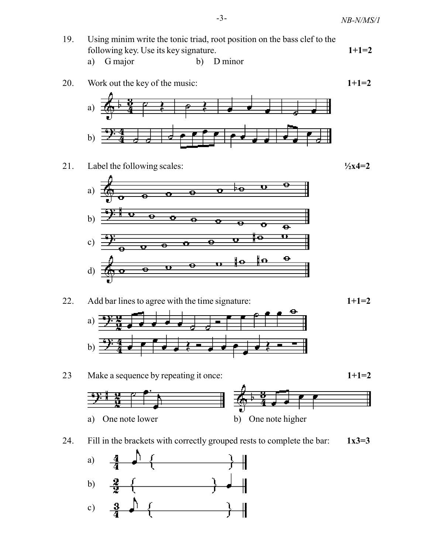



20. Work out the key of the music:  $1+1=2$ 



21. Label the following scales:  $\frac{1}{2}x^4=2$ 





### 23 Make a sequence by repeating it once: 1+1=2





24. Fill in the brackets with correctly grouped rests to complete the bar:  $1x3=3$ 

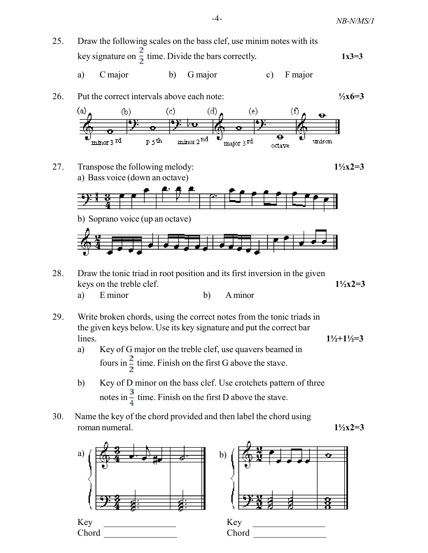- 25. Draw the following scales on the bass clef, use minim notes with its key signature on  $\frac{2}{5}$  time. Divide the bars correctly. 1x3=3
	- a) C major b) G major c) F major



27. Transpose the following melody:  $1\frac{1}{2}x^2=3$ a) Bass voice (down an octave)



- 28. Draw the tonic triad in root position and its first inversion in the given keys on the treble clef.  $1\frac{1}{2}x^2=3$ 
	- a) Eminor b) A minor
- 29. Write broken chords, using the correct notes from the tonic triads in the given keys below. Use its key signature and put the correct bar lines.  $1\frac{1}{2}+1\frac{1}{2}=3$ 
	- a) Key of G major on the treble clef, use quavers beamed in fours in  $\frac{2}{5}$  time. Finish on the first G above the stave.
	- b) Key of D minor on the bass clef. Use crotchets pattern of three notes in  $\frac{3}{4}$  time. Finish on the first D above the stave.
- 30. Name the key of the chord provided and then label the chord using roman numeral.  $1\frac{\sqrt{2}}{2}$